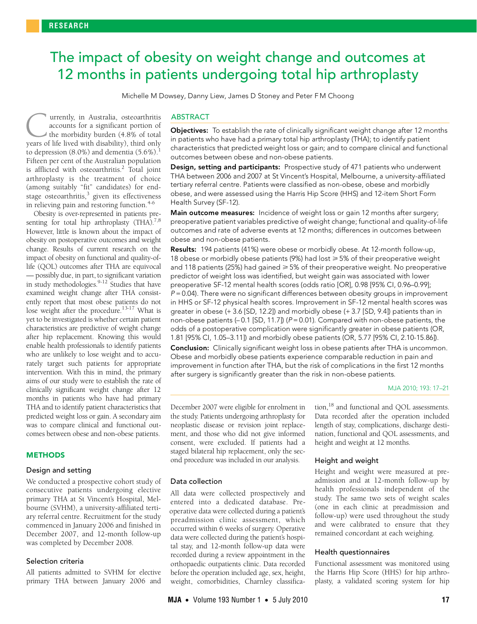# <span id="page-0-0"></span>The impact of obesity on weight change and outcomes at 12 months in patients undergoing total hip arthroplasty

Michelle M Dowsey, Danny Liew, James D Stoney and Peter F M Choong

atthropiasty is the treatment of choice<br>(among suitably "fit" candidates) [fo](#page-0-0)[r e](#page-4-12)nd- $\frac{1}{2}$  suitably in Candidates) for stage osteoarthritis,<sup>3</sup> given its effectiveness in relieving pain and restoring function.<sup>[4-](#page-4-3)[6](#page-4-4)</sup> urrently, in Australia, osteoarthritis accounts for a significant portion of the morbidity burden (4.8% of total **C** urrently, in Australia, osteoarthritis accounts for a significant portion of the morbidity burden (4.8% of total years of life lived with disability), third only to depression  $(8.0\%)$  and dementia  $(5.6\%).$ Fifteen per cent of the Australian population is afflicted with osteoarthritis.<sup>[2](#page-4-1)</sup> Total joint arthroplasty is the treatment of choice

Obesity is over-represented in patients presenting for total hip arthroplasty  $(THA)^{7,8}$  $(THA)^{7,8}$  $(THA)^{7,8}$ However, little is known about the impact of obesity on postoperative outcomes and weight change. Results of current research on the impact of obesity on functional and quality-oflife (QOL) outcomes after THA are equivocal — possibly due, in part, to significant variation in study methodologies.<sup>[9](#page-4-7)[-12](#page-4-8)</sup> Studies that have examined weight change after THA consistently report that most obese patients do not lose weight after the procedure.<sup>[13-](#page-4-9)[17](#page-4-10)</sup> What is yet to be investigated is whether certain patient characteristics are predictive of weight change after hip replacement. Knowing this would enable health professionals to identify patients who are unlikely to lose weight and to accurately target such patients for appropriate intervention. With this in mind, the primary aims of our study were to establish the rate of clinically significant weight change after 12 months in patients who have had primary THA and to identify patient characteristics that predicted weight loss or gain. A secondary aim was to compare clinical and functional outcomes between obese and non-obese patients.

#### METHODS

## Design and setting

We conducted a prospective cohort study of consecutive patients undergoing elective primary THA at St Vincent's Hospital, Melbourne (SVHM), a university-affiliated tertiary referral centre. Recruitment for the study commenced in January 2006 and finished in December 2007, and 12-month follow-up was completed by December 2008.

### Selection criteria

All patients admitted to SVHM for elective primary THA between January 2006 and

## ABSTRACT

Objectives: To establish the rate of clinically significant weight change after 12 months in patients who have had a primary total hip arthroplasty (THA); to identify patient characteristics that predicted weight loss or gain; and to compare clinical and functional outcomes between obese and non-obese patients.

Design, setting and participants: Prospective study of 471 patients who underwent THA between 2006 and 2007 at St Vincent's Hospital, Melbourne, a university-affiliated tertiary referral centre. Patients were classified as non-obese, obese and morbidly obese, and were assessed using the Harris Hip Score (HHS) and 12-item Short Form Health Survey (SF-12).

Main outcome measures: Incidence of weight loss or gain 12 months after surgery; preoperative patient variables predictive of weight change; functional and quality-of-life outcomes and rate of adverse events at 12 months; differences in outcomes between obese and non-obese patients.

Results: 194 patients (41%) were obese or morbidly obese. At 12-month follow-up, 18 obese or morbidly obese patients (9%) had lost  $\geq 5\%$  of their preoperative weight and 118 patients (25%) had gained  $\geq$  5% of their preoperative weight. No preoperative predictor of weight loss was identified, but weight gain was associated with lower preoperative SF-12 mental health scores (odds ratio [OR], 0.98 [95% CI, 0.96–0.99];  $P = 0.04$ ). There were no significant differences between obesity groups in improvement in HHS or SF-12 physical health scores. Improvement in SF-12 mental health scores was greater in obese (+ 3.6 [SD, 12.2]) and morbidly obese (+ 3.7 [SD, 9.4]) patients than in non-obese patients  $(-0.1$  [SD, 11.7]) ( $P = 0.01$ ). Compared with non-obese patients, the odds of a postoperative complication were significantly greater in obese patients (OR, 1.81 [95% CI, 1.05–3.11]) and morbidly obese patients (OR, 5.77 [95% CI, 2.10-15.86]). **Conclusion:** Clinically significant weight loss in obese patients after THA is uncommon. Obese and morbidly obese patients experience comparable reduction in pain and

improvement in function after THA, but the risk of complications in the first 12 months

after surgery is significantly greater than the risk in non-obese patients.

MJA 2010; 193: 17–21

December 2007 were eligible for enrolment in the study. Patients undergoing arthroplasty for neoplastic disease or revision joint replacement, and those who did not give informed consent, were excluded. If patients had a staged bilateral hip replacement, only the second procedure was included in our analysis.

All data were collected prospectively and entered into a dedicated database. Preoperative data were collected during a patient's preadmission clinic assessment, which occurred within 6 weeks of surgery. Operative data were collected during the patient's hospital stay, and 12-month follow-up data were recorded during a review appointment in the orthopaedic outpatients clinic. Data recorded before the operation included age, sex, height, weight, comorbidities, Charnley classifica-

Data collection

tion,[18](#page-4-11) and functional and QOL assessments. Data recorded after the operation included length of stay, complications, discharge destination, functional and QOL assessments, and height and weight at 12 months.

## Height and weight

Height and weight were measured at preadmission and at 12-month follow-up by health professionals independent of the study. The same two sets of weight scales (one in each clinic at preadmission and follow-up) were used throughout the study and were calibrated to ensure that they remained concordant at each weighing.

#### Health questionnaires

Functional assessment was monitored using the Harris Hip Score (HHS) for hip arthroplasty, a validated scoring system for hip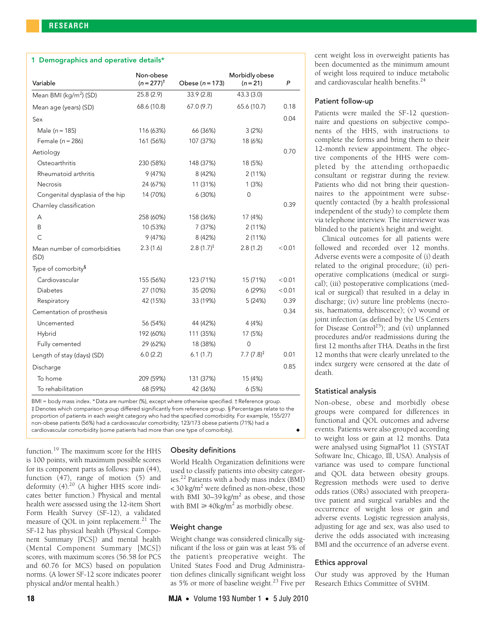## 1 Demographics and operative details\*

| Variable                             | Non-obese<br>$(n = 277)^{t}$ | Obese ( $n = 173$ )    | Morbidly obese<br>$(n = 21)$ | Ρ      |
|--------------------------------------|------------------------------|------------------------|------------------------------|--------|
| Mean BMI (kg/m <sup>2</sup> ) (SD)   | 25.8(2.9)                    | 33.9(2.8)              | 43.3 (3.0)                   |        |
| Mean age (years) (SD)                | 68.6 (10.8)                  | 67.0(9.7)              | 65.6 (10.7)                  | 0.18   |
| Sex                                  |                              |                        |                              | 0.04   |
| Male ( $n = 185$ )                   | 116 (63%)                    | 66 (36%)               | 3(2%)                        |        |
| Female $(n = 286)$                   | 161 (56%)                    | 107 (37%)              | 18 (6%)                      |        |
| Aetiology                            |                              |                        |                              | 0.70   |
| Osteoarthritis                       | 230 (58%)                    | 148 (37%)              | 18 (5%)                      |        |
| Rheumatoid arthritis                 | 9(47%)                       | 8 (42%)                | 2(11%)                       |        |
| <b>Necrosis</b>                      | 24 (67%)                     | 11 (31%)               | 1(3%)                        |        |
| Congenital dysplasia of the hip      | 14 (70%)                     | 6(30%)                 | 0                            |        |
| Charnley classification              |                              |                        |                              | 0.39   |
| А                                    | 258 (60%)                    | 158 (36%)              | 17 (4%)                      |        |
| Β                                    | 10 (53%)                     | 7 (37%)                | 2(11%)                       |        |
| $\mathsf{C}$                         | 9(47%)                       | 8 (42%)                | 2(11%)                       |        |
| Mean number of comorbidities<br>(SD) | 2.3(1.6)                     | 2.8 $(1.7)^{\ddagger}$ | 2.8(1.2)                     | < 0.01 |
| Type of comorbity <sup>§</sup>       |                              |                        |                              |        |
| Cardiovascular                       | 155 (56%)                    | 123 (71%)              | 15 (71%)                     | < 0.01 |
| <b>Diabetes</b>                      | 27 (10%)                     | 35 (20%)               | 6(29%)                       | < 0.01 |
| Respiratory                          | 42 (15%)                     | 33 (19%)               | 5 (24%)                      | 0.39   |
| Cementation of prosthesis            |                              |                        |                              | 0.34   |
| Uncemented                           | 56 (54%)                     | 44 (42%)               | 4 (4%)                       |        |
| Hybrid                               | 192 (60%)                    | 111 (35%)              | 17 (5%)                      |        |
| Fully cemented                       | 29 (62%)                     | 18 (38%)               | $\overline{0}$               |        |
| Length of stay (days) (SD)           | 6.0(2.2)                     | 6.1(1.7)               | 7.7 $(7.8)^{\ddagger}$       | 0.01   |
| Discharge                            |                              |                        |                              | 0.85   |
| To home                              | 209 (59%)                    | 131 (37%)              | 15 (4%)                      |        |
| To rehabilitation                    | 68 (59%)                     | 42 (36%)               | 6(5%)                        |        |

BMI = body mass index. \* Data are number (%), except where otherwise specified. † Reference group. ‡ Denotes which comparison group differed significantly from reference group. § Percentages relate to the proportion of patients in each weight category who had the specified comorbidity. For example, 155/277 non-obese patients (56%) had a cardiovascular comorbidity; 123/173 obese patients (71%) had a cardiovascular comorbidity (some patients had more than one type of comorbity).

function[.19](#page-4-13) The maximum score for the HHS is 100 points, with maximum possible scores for its component parts as follows: pain (44), function (47), range of motion (5) and deformity  $(4)$ .<sup>20</sup> (A higher HHS score indicates better function.) Physical and mental health were assessed using the 12-item Short Form Health Survey (SF-12), a validated measure of QOL in joint replacement.<sup>21</sup> The SF-12 has physical health (Physical Component Summary [PCS]) and mental health (Mental Component Summary [MCS]) scores, with maximum scores (56.58 for PCS and 60.76 for MCS) based on population norms. (A lower SF-12 score indicates poorer physical and/or mental health.)

# Obesity definitions

World Health Organization definitions were used to classify patients into obesity categories[.22](#page-4-16) Patients with a body mass index (BMI) < 30 kg/m<sup>2</sup> were defined as non-obese, those with BMI 30-39 kg/ $m<sup>2</sup>$  as obese, and those with BMI  $\geq 40$ kg/m<sup>2</sup> as morbidly obese.

# Weight change

Weight change was considered clinically significant if the loss or gain was at least 5% of the patient's preoperative weight. The United States Food and Drug Administration defines clinically significant weight loss as 5% or more of baseline weight.<sup>23</sup> Five per

cent weight loss in overweight patients has been documented as the minimum amount of weight loss required to induce metabolic and cardiovascular health benefits.<sup>[24](#page-4-18)</sup>

#### Patient follow-up

Patients were mailed the SF-12 questionnaire and questions on subjective components of the HHS, with instructions to complete the forms and bring them to their 12-month review appointment. The objective components of the HHS were completed by the attending orthopaedic consultant or registrar during the review. Patients who did not bring their questionnaires to the appointment were subsequently contacted (by a health professional independent of the study) to complete them via telephone interview. The interviewer was blinded to the patient's height and weight.

Clinical outcomes for all patients were followed and recorded over 12 months. Adverse events were a composite of (i) death related to the original procedure; (ii) perioperative complications (medical or surgical); (iii) postoperative complications (medical or surgical) that resulted in a delay in discharge; (iv) suture line problems (necrosis, haematoma, dehiscence); (v) wound or joint infection (as defined by the US Centers for Disease Control<sup>[25](#page-4-19)</sup>); and (vi) unplanned procedures and/or readmissions during the first 12 months after THA. Deaths in the first 12 months that were clearly unrelated to the index surgery were censored at the date of death.

# Statistical analysis

Non-obese, obese and morbidly obese groups were compared for differences in functional and QOL outcomes and adverse events. Patients were also grouped according to weight loss or gain at 12 months. Data were analysed using SigmaPlot 11 (SYSTAT Software Inc, Chicago, Ill, USA). Analysis of variance was used to compare functional and QOL data between obesity groups. Regression methods were used to derive odds ratios (ORs) associated with preoperative patient and surgical variables and the occurrence of weight loss or gain and adverse events. Logistic regression analysis, adjusting for age and sex, was also used to derive the odds associated with increasing BMI and the occurrence of an adverse event.

## Ethics approval

Our study was approved by the Human Research Ethics Committee of SVHM.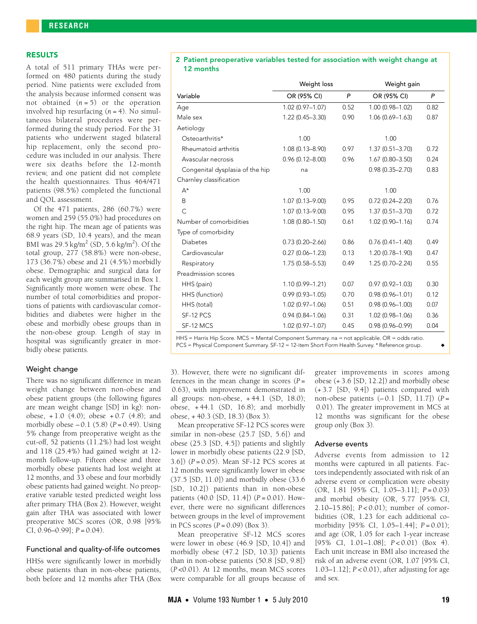# RESULTS

A total of 511 primary THAs were performed on 480 patients during the study period. Nine patients were excluded from the analysis because informed consent was not obtained  $(n=5)$  or the operation involved hip resurfacing (*n* = 4). No simultaneous bilateral procedures were performed during the study period. For the 31 patients who underwent staged bilateral hip replacement, only the second procedure was included in our analysis. There were six deaths before the 12-month review, and one patient did not complete the health questionnaires. Thus 464/471 patients (98.5%) completed the functional and QOL assessment.

Of the 471 patients, 286 (60.7%) were women and 259 (55.0%) had procedures on the right hip. The mean age of patients was 68.9 years (SD, 10.4 years), and the mean BMI was  $29.5 \,\mathrm{kg/m^2}$  (SD, 5.6 kg/m<sup>2</sup>). Of the total group, 277 (58.8%) were non-obese, 173 (36.7%) obese and 21 (4.5%) morbidly obese. Demographic and surgical data for each weight group are summarised in Box 1. Significantly more women were obese. The number of total comorbidities and proportions of patients with cardiovascular comorbidities and diabetes were higher in the obese and morbidly obese groups than in the non-obese group. Length of stay in hospital was significantly greater in morbidly obese patients.

#### Weight change

There was no significant difference in mean weight change between non-obese and obese patient groups (the following figures are mean weight change [SD] in kg): nonobese,  $+1.0$  (4.0); obese  $+0.7$  (4.8); and morbidly obese  $-0.1$  (5.8) ( $P = 0.49$ ). Using 5% change from preoperative weight as the cut-off, 52 patients (11.2%) had lost weight and 118 (25.4%) had gained weight at 12 month follow-up. Fifteen obese and three morbidly obese patients had lost weight at 12 months, and 33 obese and four morbidly obese patients had gained weight. No preoperative variable tested predicted weight loss after primary THA (Box 2). However, weight gain after THA was associated with lower preoperative MCS scores (OR, 0.98 [95% CI, 0.96–0.99]; *P* = 0.04).

## Functional and quality-of-life outcomes

HHSs were significantly lower in morbidly obese patients than in non-obese patients, both before and 12 months after THA (Box

#### 2 Patient preoperative variables tested for association with weight change at 12 months

|                                 | Weight loss         |      | Weight gain                                                                                                                                                                                                                                                                                                 |      |
|---------------------------------|---------------------|------|-------------------------------------------------------------------------------------------------------------------------------------------------------------------------------------------------------------------------------------------------------------------------------------------------------------|------|
| Variable                        | OR (95% CI)         | P    | OR (95% CI)                                                                                                                                                                                                                                                                                                 | P    |
| Age                             | $1.02(0.97 - 1.07)$ | 0.52 | $1.00(0.98 - 1.02)$                                                                                                                                                                                                                                                                                         | 0.82 |
| Male sex                        | 1.22 (0.45-3.30)    | 0.90 | $1.06(0.69 - 1.63)$                                                                                                                                                                                                                                                                                         | 0.87 |
| Aetiology                       |                     |      |                                                                                                                                                                                                                                                                                                             |      |
| Osteoarthritis*                 | 1.00                |      | 1.00                                                                                                                                                                                                                                                                                                        |      |
| Rheumatoid arthritis            | $1.08(0.13 - 8.90)$ | 0.97 | $1.37(0.51 - 3.70)$                                                                                                                                                                                                                                                                                         | 0.72 |
| Avascular necrosis              | $0.96(0.12 - 8.00)$ | 0.96 | $1.67(0.80 - 3.50)$                                                                                                                                                                                                                                                                                         | 0.24 |
| Congenital dysplasia of the hip | na                  |      | $0.98(0.35 - 2.70)$                                                                                                                                                                                                                                                                                         | 0.83 |
| Charnley classification         |                     |      |                                                                                                                                                                                                                                                                                                             |      |
| $A^*$                           | 1.00                |      | 1.00                                                                                                                                                                                                                                                                                                        |      |
| B                               | $1.07(0.13 - 9.00)$ | 0.95 | $0.72(0.24 - 2.20)$                                                                                                                                                                                                                                                                                         | 0.76 |
| $\mathsf{C}$                    | $1.07(0.13 - 9.00)$ | 0.95 | $1.37(0.51 - 3.70)$                                                                                                                                                                                                                                                                                         | 0.72 |
| Number of comorbidities         | $1.08(0.80 - 1.50)$ | 0.61 | $1.02(0.90 - 1.16)$                                                                                                                                                                                                                                                                                         | 0.74 |
| Type of comorbidity             |                     |      |                                                                                                                                                                                                                                                                                                             |      |
| <b>Diabetes</b>                 | $0.73(0.20 - 2.66)$ | 0.86 | $0.76(0.41 - 1.40)$                                                                                                                                                                                                                                                                                         | 0.49 |
| Cardiovascular                  | $0.27(0.06 - 1.23)$ | 0.13 | $1.20(0.78 - 1.90)$                                                                                                                                                                                                                                                                                         | 0.47 |
| Respiratory                     | 1.75 (0.58-5.53)    | 0.49 | $1.25(0.70 - 2.24)$                                                                                                                                                                                                                                                                                         | 0.55 |
| Preadmission scores             |                     |      |                                                                                                                                                                                                                                                                                                             |      |
| HHS (pain)                      | 1.10 (0.99-1.21)    | 0.07 | $0.97(0.92 - 1.03)$                                                                                                                                                                                                                                                                                         | 0.30 |
| HHS (function)                  | $0.99(0.93 - 1.05)$ | 0.70 | $0.98(0.96 - 1.01)$                                                                                                                                                                                                                                                                                         | 0.12 |
| HHS (total)                     | $1.02(0.97 - 1.06)$ | 0.51 | $0.98(0.96 - 1.00)$                                                                                                                                                                                                                                                                                         | 0.07 |
| SF-12 PCS                       | $0.94(0.84 - 1.06)$ | 0.31 | 1.02 (0.98-1.06)                                                                                                                                                                                                                                                                                            | 0.36 |
| SF-12 MCS                       | $1.02(0.97 - 1.07)$ | 0.45 | $0.98(0.96 - 0.99)$                                                                                                                                                                                                                                                                                         | 0.04 |
|                                 |                     |      | $\mathbf{r}$ , $\mathbf{r}$ , $\mathbf{r}$ , $\mathbf{r}$ , $\mathbf{r}$ , $\mathbf{r}$ , $\mathbf{r}$ , $\mathbf{r}$ , $\mathbf{r}$ , $\mathbf{r}$ , $\mathbf{r}$ , $\mathbf{r}$ , $\mathbf{r}$ , $\mathbf{r}$ , $\mathbf{r}$ , $\mathbf{r}$ , $\mathbf{r}$ , $\mathbf{r}$ , $\mathbf{r}$ , $\mathbf{r}$ , |      |

HHS = Harris Hip Score. MCS = Mental Component Summary. na = not applicable. OR = odds ratio. PCS = Physical Component Summary. SF-12 = 12-item Short Form Health Survey. \* Reference group. ◆

3). However, there were no significant differences in the mean change in scores (*P* = 0.63), with improvement demonstrated in all groups: non-obese, + 44.1 (SD, 18.0); obese, + 44.1 (SD, 16.8); and morbidly obese, + 40.3 (SD, 18.3) (Box 3).

Mean preoperative SF-12 PCS scores were similar in non-obese (25.7 [SD, 5.6]) and obese (25.3 [SD, 4.5]) patients and slightly lower in morbidly obese patients (22.9 [SD, 3.6]) (*P* = 0.05). Mean SF-12 PCS scores at 12 months were significantly lower in obese (37.5 [SD, 11.0]) and morbidly obese (33.6 [SD, 10.2]) patients than in non-obese patients (40.0 [SD, 11.4]) (*P* = 0.01). However, there were no significant differences between groups in the level of improvement in PCS scores (*P* = 0.09) (Box 3).

Mean preoperative SF-12 MCS scores were lower in obese (46.9 [SD, 10.4]) and morbidly obese (47.2 [SD, 10.3]) patients than in non-obese patients (50.8 [SD, 9.8]) (*P* <0.01). At 12 months, mean MCS scores were comparable for all groups because of greater improvements in scores among obese (+ 3.6 [SD, 12.2]) and morbidly obese (+ 3.7 [SD, 9.4]) patients compared with non-obese patients (– 0.1 [SD, 11.7]) (*P* = 0.01). The greater improvement in MCS at 12 months was significant for the obese group only (Box 3).

# Adverse events

Adverse events from admission to 12 months were captured in all patients. Factors independently associated with risk of an adverse event or complication were obesity (OR, 1.81 [95% CI, 1.05–3.11]; *P* = 0.03) and morbid obesity (OR, 5.77 [95% CI, 2.10–15.86]; *P* < 0.01); number of comorbidities (OR, 1.23 for each additional comorbidity [95% CI, 1.05–1.44]; *P* = 0.01); and age (OR, 1.05 for each 1-year increase [95% CI, 1.01–1.08]; *P* < 0.01) (Box 4). Each unit increase in BMI also increased the risk of an adverse event (OR, 1.07 [95% CI, 1.03–1.12]; *P* < 0.01), after adjusting for age and sex.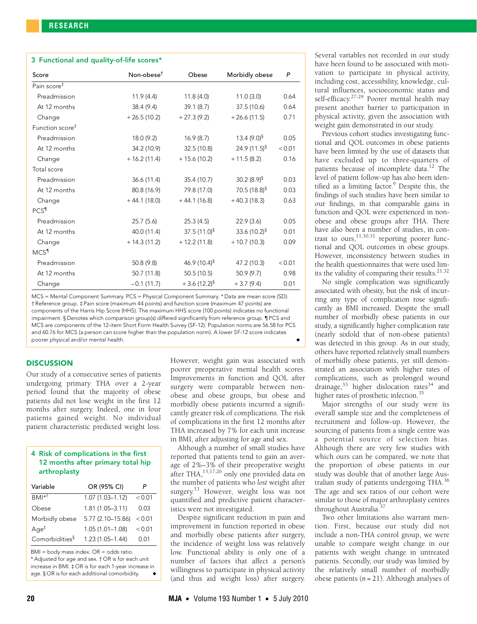| 3 Functional and quality-of-life scores* |                |                    |                             |        |
|------------------------------------------|----------------|--------------------|-----------------------------|--------|
| Score                                    | $Non-ohese†$   | Obese              | Morbidly obese              | P      |
| Pain score <sup>#</sup>                  |                |                    |                             |        |
| Preadmission                             | 11.9(4.4)      | 11.8(4.0)          | 11.0(3.0)                   | 0.64   |
| At 12 months                             | 38.4 (9.4)     | 39.1(8.7)          | 37.5 (10.6)                 | 0.64   |
| Change                                   | $+26.5(10.2)$  | $+27.3(9.2)$       | $+26.6(11.5)$               | 0.71   |
| Function score <sup>#</sup>              |                |                    |                             |        |
| Preadmission                             | 18.0 (9.2)     | 16.9(8.7)          | 13.4 $(9.0)^{§}$            | 0.05   |
| At 12 months                             | 34.2 (10.9)    | 32.5 (10.8)        | 24.9 $(11.5)^{\S}$          | < 0.01 |
| Change                                   | $+16.2(11.4)$  | $+ 15.6(10.2)$     | $+11.5(8.2)$                | 0.16   |
| Total score                              |                |                    |                             |        |
| Preadmission                             | 36.6(11.4)     | 35.4 (10.7)        | 30.2 $(8.9)^{\$}$           | 0.03   |
| At 12 months                             | 80.8 (16.9)    | 79.8 (17.0)        | 70.5 $(18.8)^{\frac{5}{3}}$ | 0.03   |
| Change                                   | $+44.1(18.0)$  | $+44.1(16.8)$      | $+40.3(18.3)$               | 0.63   |
| PCS <sup>1</sup>                         |                |                    |                             |        |
| Preadmission                             | 25.7(5.6)      | 25.3(4.5)          | 22.9(3.6)                   | 0.05   |
| At 12 months                             | 40.0 (11.4)    | 37.5 $(11.0)^{§}$  | 33.6 $(10.2)^{5}$           | 0.01   |
| Change                                   | $+ 14.3(11.2)$ | $+ 12.2(11.8)$     | $+10.7(10.3)$               | 0.09   |
| MCS <sup>1</sup>                         |                |                    |                             |        |
| Preadmission                             | 50.8 (9.8)     | 46.9 $(10.4)^{\S}$ | 47.2 (10.3)                 | < 0.01 |
| At 12 months                             | 50.7(11.8)     | 50.5(10.5)         | 50.9 (9.7)                  | 0.98   |
| Change                                   | $-0.1(11.7)$   | $+3.6(12.2)^{6}$   | $+3.7(9.4)$                 | 0.01   |

MCS = Mental Component Summary. PCS = Physical Component Summary. \* Data are mean score (SD). † Reference group. ‡ Pain score (maximum 44 points) and function score (maximum 47 points) are components of the Harris Hip Score (HHS). The maximum HHS score (100 points) indicates no functional impairment. § Denotes which comparison group(s) differed significantly from reference group. ¶ PCS and MCS are components of the 12-item Short Form Health Survey (SF-12). Population norms are 56.58 for PCS and 60.76 for MCS (a person can score higher than the population norm). A lower SF-12 score indicates poorer physical and/or mental health.

# **DISCUSSION**

Our study of a consecutive series of patients undergoing primary THA over a 2-year period found that the majority of obese patients did not lose weight in the first 12 months after surgery. Indeed, one in four patients gained weight. No individual patient characteristic predicted weight loss.

# 4 Risk of complications in the first 12 months after primary total hip arthroplasty

| Variable                   | OR (95% CI)         | P        |
|----------------------------|---------------------|----------|
| $BM*^{\dagger}$            | $1.07(1.03 - 1.12)$ | < 0.01   |
| Obese                      | $1.81(1.05 - 3.11)$ | 0.03     |
| Morbidly obese             | 5.77 (2.10-15.86)   | < 0.01   |
| $Aq e^{\ddagger}$          | $1.05(1.01 - 1.08)$ | < 0.01   |
| Comorbidities <sup>§</sup> | $1.23(1.05 - 1.44)$ | $(1)$ 01 |

BMI = body mass index. OR = odds ratio.

\* Adjusted for age and sex. † OR is for each unit increase in BMI. ‡ OR is for each 1-year increase in age. § OR is for each additional comorbidity.

However, weight gain was associated with poorer preoperative mental health scores. Improvements in function and QOL after surgery were comparable between nonobese and obese groups, but obese and morbidly obese patients incurred a significantly greater risk of complications. The risk of complications in the first 12 months after THA increased by 7% for each unit increase in BMI, after adjusting for age and sex.

Although a number of small studies have reported that patients tend to gain an average of 2%–3% of their preoperative weight after THA,  $15,17,26$  $15,17,26$  $15,17,26$  only one provided data on the number of patients who *lost* weight after surgery.<sup>13</sup> However, weight loss was not quantified and predictive patient characteristics were not investigated.

Despite significant reduction in pain and improvement in function reported in obese and morbidly obese patients after surgery, the incidence of weight loss was relatively low. Functional ability is only one of a number of factors that affect a person's willingness to participate in physical activity (and thus aid weight loss) after surgery.

Several variables not recorded in our study have been found to be associated with motivation to participate in physical activity, including cost, accessibility, knowledge, cultural influences, socioeconomic status and self-efficacy.<sup>27[-29](#page-4-23)</sup> Poorer mental health may present another barrier to participation in physical activity, given the association with weight gain demonstrated in our study.

Previous cohort studies investigating functional and QOL outcomes in obese patients have been limited by the use of datasets that have excluded up to three-quarters of patients because of incomplete data.<sup>12</sup> The level of patient follow-up has also been iden-tified as a limiting factor.<sup>[9](#page-4-7)</sup> Despite this, the findings of such studies have been similar to our findings, in that comparable gains in function and QOL were experienced in nonobese and obese groups after THA. There have also been a number of studies, in contrast to ours, $11,30,31$  $11,30,31$  $11,30,31$  reporting poorer functional and QOL outcomes in obese groups. However, inconsistency between studies in the health questionnaires that were used limits the validity of comparing their results. $21,32$  $21,32$ 

No single complication was significantly associated with obesity, but the risk of incurring any type of complication rose significantly as BMI increased. Despite the small number of morbidly obese patients in our study, a significantly higher complication rate (nearly sixfold that of non-obese patients) was detected in this group. As in our study, others have reported relatively small numbers of morbidly obese patients, yet still demonstrated an association with higher rates of complications, such as prolonged wound drainage,<sup>33</sup> higher dislocation rates<sup>34</sup> and higher rates of prosthetic infection.<sup>[35](#page-4-30)</sup>

Major strengths of our study were its overall sample size and the completeness of recruitment and follow-up. However, the sourcing of patients from a single centre was a potential source of selection bias. Although there are very few studies with which ours can be compared, we note that the proportion of obese patients in our study was double that of another large Aus-tralian study of patients undergoing THA.<sup>[36](#page-4-31)</sup> The age and sex ratios of our cohort were similar to those of major arthroplasty centres throughout Australia.[37](#page-4-32)

Two other limitations also warrant mention. First, because our study did not include a non-THA control group, we were unable to compare weight change in our patients with weight change in untreated patients. Secondly, our study was limited by the relatively small number of morbidly obese patients (*n* = 21). Although analyses of